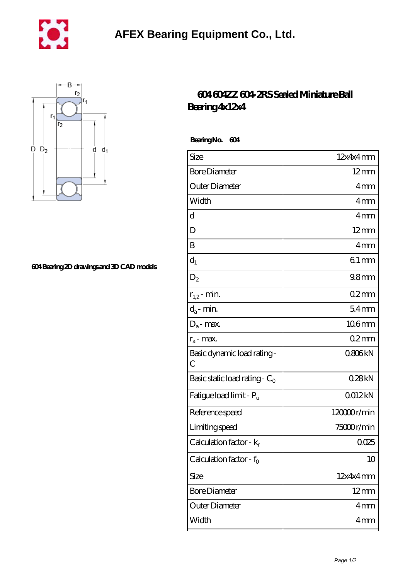



## **[604 Bearing 2D drawings and 3D CAD models](https://m.lvrmb.com/pic-281163.html)**

## **[604 604ZZ 604-2RS Sealed Miniature Ball](https://m.lvrmb.com/au-281163-604-604zz-604-2rs-sealed-miniature-ball-bearing-4x12x4.html) [Bearing 4x12x4](https://m.lvrmb.com/au-281163-604-604zz-604-2rs-sealed-miniature-ball-bearing-4x12x4.html)**

 **Bearing No. 604**

| Size                                | 12x4x4mm         |
|-------------------------------------|------------------|
| <b>Bore Diameter</b>                | $12 \text{mm}$   |
| Outer Diameter                      | 4mm              |
| Width                               | 4mm              |
| d                                   | 4 <sub>mm</sub>  |
| D                                   | $12$ mm          |
| B                                   | 4mm              |
| $d_1$                               | 61mm             |
| $D_2$                               | 98 <sub>mm</sub> |
| $r_{1,2}$ - min.                    | $02$ mm          |
| $d_a$ - min.                        | $54$ mm          |
| $D_a$ - max.                        | 106mm            |
| $r_a$ - max.                        | 02mm             |
| Basic dynamic load rating-<br>С     | Q806kN           |
| Basic static load rating - $C_0$    | 028kN            |
| Fatigue load limit - Pu             | 0012kN           |
| Reference speed                     | 120000r/min      |
| Limiting speed                      | 75000r/min       |
| Calculation factor - $k_r$          | 0025             |
| Calculation factor - f <sub>0</sub> | 10               |
| Size                                | 12x4x4mm         |
| <b>Bore Diameter</b>                | $12 \text{mm}$   |
| Outer Diameter                      | 4 <sub>mm</sub>  |
| Width                               | 4mm              |
|                                     |                  |